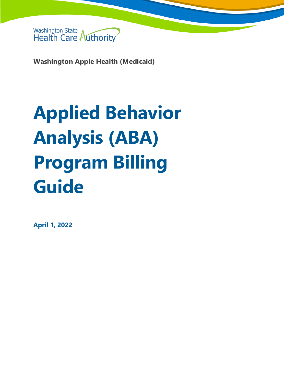

**Washington Apple Health (Medicaid)**

# **Applied Behavior Analysis (ABA) Program Billing Guide**

**April 1, 2022**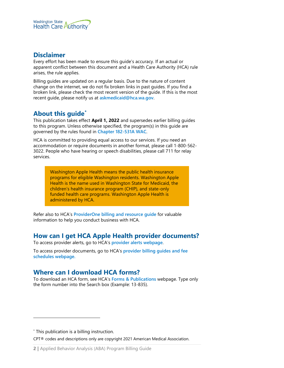

#### **Disclaimer**

Every effort has been made to ensure this guide's accuracy. If an actual or apparent conflict between this document and a Health Care Authority (HCA) rule arises, the rule applies.

Billing guides are updated on a regular basis. Due to the nature of content change on the internet, we do not fix broken links in past guides. If you find a broken link, please check the most recent version of the guide. If this is the most recent guide, please notify us at **[askmedicaid@hca.wa.gov](mailto:askmedicaid@hca.wa.gov)**.

# **About this guide[\\*](#page-1-0)**

This publication takes effect **April 1, 2022** and supersedes earlier billing guides to this program. Unless otherwise specified, the program(s) in this guide are governed by the rules found in **[Chapter 182-531A WAC](https://apps.leg.wa.gov/wac/default.aspx?cite=182-531A)**.

HCA is committed to providing equal access to our services. If you need an accommodation or require documents in another format, please call 1-800-562- 3022. People who have hearing or speech disabilities, please call 711 for relay services.

> Washington Apple Health means the public health insurance programs for eligible Washington residents. Washington Apple Health is the name used in Washington State for Medicaid, the children's health insurance program (CHIP), and state-only funded health care programs. Washington Apple Health is administered by HCA.

Refer also to HCA's **[ProviderOne billing and resource guide](http://www.hca.wa.gov/node/311)** for valuable information to help you conduct business with HCA.

# **How can I get HCA Apple Health provider documents?**

To access provider alerts, go to HCA's **[provider alerts webpage](http://www.hca.wa.gov/node/316)**.

To access provider documents, go to HCA's **[provider billing guides and fee](http://www.hca.wa.gov/node/301)  [schedules webpage.](http://www.hca.wa.gov/node/301)**

# <span id="page-1-1"></span>**Where can I download HCA forms?**

To download an HCA form, see HCA's **[Forms & Publications](http://www.hca.wa.gov/billers-providers/forms-and-publications)** webpage. Type only the form number into the Search box (Example: 13-835).

<span id="page-1-0"></span>\* This publication is a billing instruction.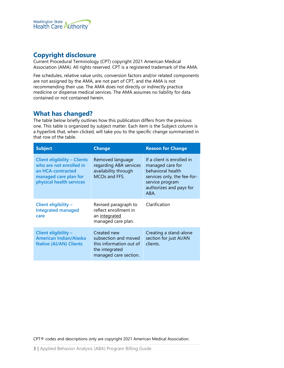

# **Copyright disclosure**

Current Procedural Terminology (CPT) copyright 2021 American Medical Association (AMA). All rights reserved. CPT is a registered trademark of the AMA.

Fee schedules, relative value units, conversion factors and/or related components are not assigned by the AMA, are not part of CPT, and the AMA is not recommending their use. The AMA does not directly or indirectly practice medicine or dispense medical services. The AMA assumes no liability for data contained or not contained herein.

#### **What has changed?**

The table below briefly outlines how this publication differs from the previous one. This table is organized by subject matter. Each item is the Subject column is a hyperlink that, when clicked, will take you to the specific change summarized in that row of the table.

| <b>Subject</b>                                                                                                                           | <b>Change</b>                                                                                             | <b>Reason for Change</b>                                                                                                                                 |  |
|------------------------------------------------------------------------------------------------------------------------------------------|-----------------------------------------------------------------------------------------------------------|----------------------------------------------------------------------------------------------------------------------------------------------------------|--|
| <b>Client eligibility - Clients</b><br>who are not enrolled in<br>an HCA-contracted<br>managed care plan for<br>physical health services | Removed language<br>regarding ABA services<br>availability through<br>MCOs and FFS.                       | If a client is enrolled in<br>managed care for<br>behavioral health<br>services only, the fee-for-<br>service program<br>authorizes and pays for<br>ABA. |  |
| Client eligibility -<br><b>Integrated managed</b><br>care                                                                                | Revised paragraph to<br>reflect enrollment in<br>an integrated<br>managed care plan.                      | Clarification                                                                                                                                            |  |
| Client eligibility -<br><b>American Indian/Alaska</b><br><b>Native (AI/AN) Clients</b>                                                   | Created new<br>subsection and moved<br>this information out of<br>the integrated<br>managed care section. | Creating a stand-alone<br>section for just Al/AN<br>clients.                                                                                             |  |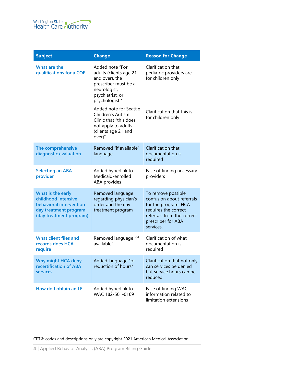

| <b>Subject</b>                                                                                                          | <b>Change</b>                                                                                                                                                       | <b>Reason for Change</b>                                                                                                                                         |
|-------------------------------------------------------------------------------------------------------------------------|---------------------------------------------------------------------------------------------------------------------------------------------------------------------|------------------------------------------------------------------------------------------------------------------------------------------------------------------|
| What are the<br>qualifications for a COE                                                                                | Added note "For<br>adults (clients age 21<br>and over), the<br>prescriber must be a<br>neurologist,<br>psychiatrist, or<br>psychologist."<br>Added note for Seattle | Clarification that<br>pediatric providers are<br>for children only                                                                                               |
|                                                                                                                         | Children's Autism<br>Clinic that "this does<br>not apply to adults<br>(clients age 21 and<br>over)"                                                                 | Clarification that this is<br>for children only                                                                                                                  |
| The comprehensive<br>diagnostic evaluation                                                                              | Removed "if available"<br>language                                                                                                                                  | Clarification that<br>documentation is<br>required                                                                                                               |
| <b>Selecting an ABA</b><br>provider                                                                                     | Added hyperlink to<br>Medicaid-enrolled<br>ABA provides                                                                                                             | Ease of finding necessary<br>providers                                                                                                                           |
| What is the early<br>childhood intensive<br>behavioral intervention<br>day treatment program<br>(day treatment program) | Removed language<br>regarding physician's<br>order and the day<br>treatment program                                                                                 | To remove possible<br>confusion about referrals<br>for the program. HCA<br>requires the correct<br>referrals from the correct<br>prescriber for ABA<br>services. |
| What client files and<br>records does HCA<br>require                                                                    | Removed language "if<br>available"                                                                                                                                  | Clarification of what<br>documentation is<br>required                                                                                                            |
| Why might HCA deny<br>recertification of ABA<br>services                                                                | Added language "or<br>reduction of hours"                                                                                                                           | Clarification that not only<br>can services be denied<br>but service hours can be<br>reduced                                                                     |
| How do I obtain an LE                                                                                                   | Added hyperlink to<br>WAC 182-501-0169                                                                                                                              | Ease of finding WAC<br>information related to<br>limitation extensions                                                                                           |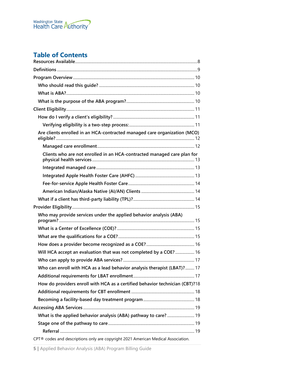

# **Table of Contents**

| Are clients enrolled in an HCA-contracted managed care organization (MCO)         |  |
|-----------------------------------------------------------------------------------|--|
|                                                                                   |  |
| Clients who are not enrolled in an HCA-contracted managed care plan for           |  |
|                                                                                   |  |
|                                                                                   |  |
|                                                                                   |  |
|                                                                                   |  |
|                                                                                   |  |
|                                                                                   |  |
| Who may provide services under the applied behavior analysis (ABA)                |  |
|                                                                                   |  |
|                                                                                   |  |
|                                                                                   |  |
| Will HCA accept an evaluation that was not completed by a COE?  16                |  |
|                                                                                   |  |
| Who can enroll with HCA as a lead behavior analysis therapist (LBAT)? 17          |  |
|                                                                                   |  |
| How do providers enroll with HCA as a certified behavior technician (CBT)?18      |  |
|                                                                                   |  |
|                                                                                   |  |
|                                                                                   |  |
| What is the applied behavior analysis (ABA) pathway to care?  19                  |  |
|                                                                                   |  |
|                                                                                   |  |
| CPT® codes and descriptions only are copyright 2021 American Medical Association. |  |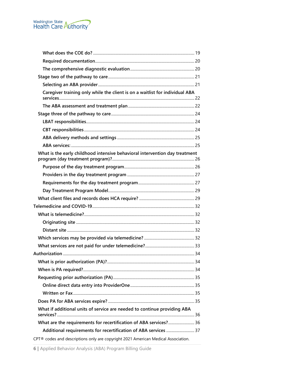

| Caregiver training only while the client is on a waitlist for individual ABA      |  |
|-----------------------------------------------------------------------------------|--|
|                                                                                   |  |
|                                                                                   |  |
|                                                                                   |  |
|                                                                                   |  |
|                                                                                   |  |
|                                                                                   |  |
| What is the early childhood intensive behavioral intervention day treatment       |  |
|                                                                                   |  |
|                                                                                   |  |
|                                                                                   |  |
|                                                                                   |  |
|                                                                                   |  |
|                                                                                   |  |
|                                                                                   |  |
|                                                                                   |  |
|                                                                                   |  |
|                                                                                   |  |
|                                                                                   |  |
|                                                                                   |  |
|                                                                                   |  |
|                                                                                   |  |
|                                                                                   |  |
|                                                                                   |  |
|                                                                                   |  |
|                                                                                   |  |
| What if additional units of service are needed to continue providing ABA          |  |
| What are the requirements for recertification of ABA services? 36                 |  |
| Additional requirements for recertification of ABA services  37                   |  |
| CPT® codes and descriptions only are copyright 2021 American Medical Association. |  |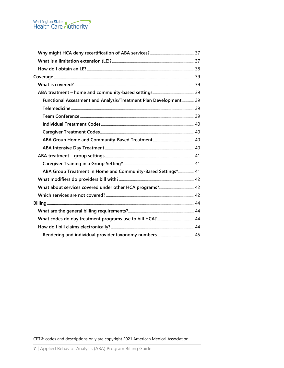

| Functional Assessment and Analysis/Treatment Plan Development  39<br>ABA Group Treatment in Home and Community-Based Settings* 41 |  |
|-----------------------------------------------------------------------------------------------------------------------------------|--|
|                                                                                                                                   |  |
|                                                                                                                                   |  |
|                                                                                                                                   |  |
|                                                                                                                                   |  |
|                                                                                                                                   |  |
|                                                                                                                                   |  |
|                                                                                                                                   |  |
|                                                                                                                                   |  |
|                                                                                                                                   |  |
|                                                                                                                                   |  |
|                                                                                                                                   |  |
|                                                                                                                                   |  |
|                                                                                                                                   |  |
|                                                                                                                                   |  |
|                                                                                                                                   |  |
|                                                                                                                                   |  |
|                                                                                                                                   |  |
|                                                                                                                                   |  |
|                                                                                                                                   |  |
|                                                                                                                                   |  |
|                                                                                                                                   |  |
|                                                                                                                                   |  |
|                                                                                                                                   |  |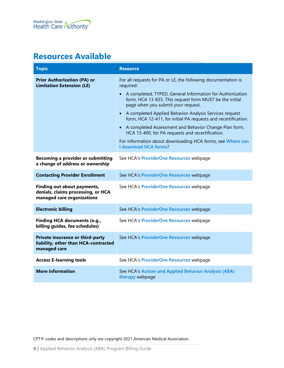# <span id="page-7-0"></span>**Resources Available**

<span id="page-7-1"></span>

| <b>Topic</b>                                                                                    | <b>Resource</b>                                                                                                                                                                                                                                                                                                                                                                                                                                                                                                                                                                                |
|-------------------------------------------------------------------------------------------------|------------------------------------------------------------------------------------------------------------------------------------------------------------------------------------------------------------------------------------------------------------------------------------------------------------------------------------------------------------------------------------------------------------------------------------------------------------------------------------------------------------------------------------------------------------------------------------------------|
| <b>Prior Authorization (PA) or</b><br><b>Limitation Extension (LE)</b>                          | For all requests for PA or LE, the following documentation is<br>required:<br>A completed, TYPED, General Information for Authorization<br>form, HCA 13-835. This request form MUST be the initial<br>page when you submit your request.<br>A completed Applied Behavior Analysis Services request<br>$\bullet$<br>form, HCA 12-411, for initial PA requests and recertification.<br>• A completed Assessment and Behavior Change Plan form,<br>HCA 13-400, for PA requests and recertification.<br>For information about downloading HCA forms, see Where can<br><b>I download HCA forms?</b> |
| <b>Becoming a provider or submitting</b><br>a change of address or ownership                    | See HCA's ProviderOne Resources webpage                                                                                                                                                                                                                                                                                                                                                                                                                                                                                                                                                        |
| <b>Contacting Provider Enrollment</b>                                                           | See HCA's ProviderOne Resources webpage                                                                                                                                                                                                                                                                                                                                                                                                                                                                                                                                                        |
| Finding out about payments,<br>denials, claims processing, or HCA<br>managed care organizations | See HCA's ProviderOne Resources webpage                                                                                                                                                                                                                                                                                                                                                                                                                                                                                                                                                        |
| <b>Electronic billing</b>                                                                       | See HCA's ProviderOne Resources webpage                                                                                                                                                                                                                                                                                                                                                                                                                                                                                                                                                        |
| <b>Finding HCA documents (e.g.,</b><br>billing guides, fee schedules)                           | See HCA's ProviderOne Resources webpage                                                                                                                                                                                                                                                                                                                                                                                                                                                                                                                                                        |
| Private insurance or third-party<br>liability, other than HCA-contracted<br>managed care        | See HCA's ProviderOne Resources webpage                                                                                                                                                                                                                                                                                                                                                                                                                                                                                                                                                        |
| <b>Access E-learning tools</b>                                                                  | See HCA's ProviderOne Resources webpage                                                                                                                                                                                                                                                                                                                                                                                                                                                                                                                                                        |
| <b>More information</b>                                                                         | See HCA's Autism and Applied Behavior Analysis (ABA)<br>therapy webpage                                                                                                                                                                                                                                                                                                                                                                                                                                                                                                                        |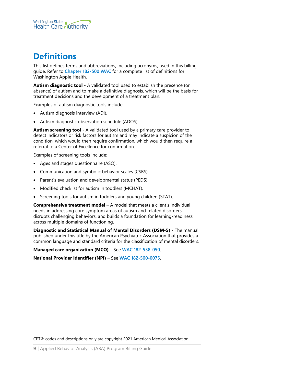

# <span id="page-8-0"></span>**Definitions**

This list defines terms and abbreviations, including acronyms, used in this billing guide. Refer to **[Chapter 182-500 WAC](http://app.leg.wa.gov/wac/default.aspx?cite=182-500&full=true)** for a complete list of definitions for Washington Apple Health.

**Autism diagnostic tool** - A validated tool used to establish the presence (or absence) of autism and to make a definitive diagnosis, which will be the basis for treatment decisions and the development of a treatment plan.

Examples of autism diagnostic tools include:

- Autism diagnosis interview (ADI).
- Autism diagnostic observation schedule (ADOS).

**Autism screening tool** - A validated tool used by a primary care provider to detect indicators or risk factors for autism and may indicate a suspicion of the condition, which would then require confirmation, which would then require a referral to a Center of Excellence for confirmation.

Examples of screening tools include:

- Ages and stages questionnaire (ASQ).
- Communication and symbolic behavior scales (CSBS).
- Parent's evaluation and developmental status (PEDS).
- Modified checklist for autism in toddlers (MCHAT).
- Screening tools for autism in toddlers and young children (STAT).

**Comprehensive treatment model** – A model that meets a client's individual needs in addressing core symptom areas of autism and related disorders, disrupts challenging behaviors, and builds a foundation for learning-readiness across multiple domains of functioning.

**Diagnostic and Statistical Manual of Mental Disorders (DSM-5)** - The manual published under this title by the American Psychiatric Association that provides a common language and standard criteria for the classification of mental disorders.

**Managed care organization (MCO)** – See **[WAC 182-538-050](http://app.leg.wa.gov/wac/default.aspx?cite=182-538-050)**.

**National Provider Identifier (NPI)** – See **[WAC 182-500-0075](http://app.leg.wa.gov/WAC/default.aspx?cite=182-500-0075)**.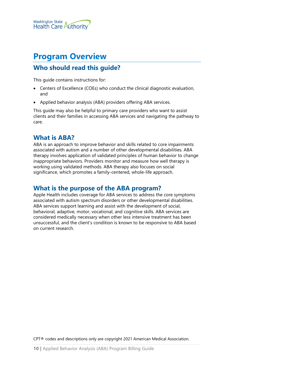

# <span id="page-9-0"></span>**Program Overview**

# <span id="page-9-1"></span>**Who should read this guide?**

This guide contains instructions for:

- Centers of Excellence (COEs) who conduct the clinical diagnostic evaluation, and
- Applied behavior analysis (ABA) providers offering ABA services.

This guide may also be helpful to primary care providers who want to assist clients and their families in accessing ABA services and navigating the pathway to care.

#### <span id="page-9-2"></span>**What is ABA?**

ABA is an approach to improve behavior and skills related to core impairments associated with autism and a number of other developmental disabilities. ABA therapy involves application of validated principles of human behavior to change inappropriate behaviors. Providers monitor and measure how well therapy is working using validated methods. ABA therapy also focuses on social significance, which promotes a family-centered, whole-life approach.

#### <span id="page-9-3"></span>**What is the purpose of the ABA program?**

Apple Health includes coverage for ABA services to address the core symptoms associated with autism spectrum disorders or other developmental disabilities. ABA services support learning and assist with the development of social, behavioral, adaptive, motor, vocational, and cognitive skills. ABA services are considered medically necessary when other less intensive treatment has been unsuccessful, and the client's condition is known to be responsive to ABA based on current research.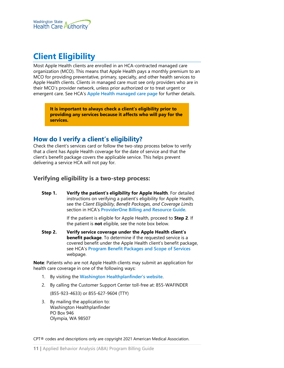

# <span id="page-10-0"></span>**Client Eligibility**

Most Apple Health clients are enrolled in an HCA-contracted managed care organization (MCO). This means that Apple Health pays a monthly premium to an MCO for providing preventative, primary, specialty, and other health services to Apple Health clients. Clients in managed care must see only providers who are in their MCO's provider network, unless prior authorized or to treat urgent or emergent care. See HCA's **[Apple Health managed care page](https://www.hca.wa.gov/node/831)** for further details.

**It is important to always check a client's eligibility prior to providing any services because it affects who will pay for the services.**

#### <span id="page-10-1"></span>**How do I verify a client's eligibility?**

Check the client's services card or follow the two-step process below to verify that a client has Apple Health coverage for the date of service and that the client's benefit package covers the applicable service. This helps prevent delivering a service HCA will not pay for.

#### <span id="page-10-2"></span>**Verifying eligibility is a two-step process:**

**Step 1. Verify the patient's eligibility for Apple Health**. For detailed instructions on verifying a patient's eligibility for Apple Health, see the *Client Eligibility, Benefit Packages, and Coverage Limits* section in HCA's **[ProviderOne Billing and Resource Guide](http://www.hca.wa.gov/node/311)**.

> If the patient is eligible for Apple Health, proceed to **Step 2**. If the patient is **not** eligible, see the note box below.

**Step 2. Verify service coverage under the Apple Health client's benefit package**. To determine if the requested service is a covered benefit under the Apple Health client's benefit package, see HCA's **[Program Benefit Packages and Scope of Services](http://www.hca.wa.gov/node/2391)** webpage.

**Note**: Patients who are not Apple Health clients may submit an application for health care coverage in one of the following ways:

- 1. By visiting the **[Washington Healthplanfinder's website](http://www.wahealthplanfinder.org/)**.
- 2. By calling the Customer Support Center toll-free at: 855-WAFINDER

(855-923-4633) or 855-627-9604 (TTY)

3. By mailing the application to: Washington Healthplanfinder PO Box 946 Olympia, WA 98507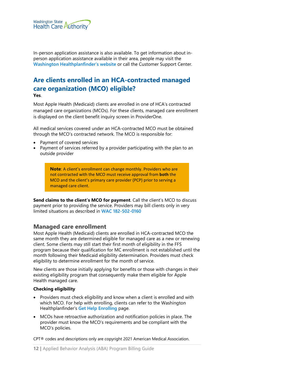

In-person application assistance is also available. To get information about inperson application assistance available in their area, people may visit the **[Washington Healthplanfinder's website](http://www.wahealthplanfinder.org/)** or call the Customer Support Center.

#### <span id="page-11-0"></span>**Are clients enrolled in an HCA-contracted managed care organization (MCO) eligible? Yes**.

Most Apple Health (Medicaid) clients are enrolled in one of HCA's contracted managed care organizations (MCOs). For these clients, managed care enrollment is displayed on the client benefit inquiry screen in ProviderOne.

All medical services covered under an HCA-contracted MCO must be obtained through the MCO's contracted network. The MCO is responsible for:

- Payment of covered services
- Payment of services referred by a provider participating with the plan to an outside provider

**Note**: A client's enrollment can change monthly. Providers who are not contracted with the MCO must receive approval from **both** the MCO and the client's primary care provider (PCP) prior to serving a managed care client.

**Send claims to the client's MCO for payment**. Call the client's MCO to discuss payment prior to providing the service. Providers may bill clients only in very limited situations as described in **[WAC 182-502-0160](http://apps.leg.wa.gov/wac/default.aspx?cite=182-502-0160)**

#### <span id="page-11-1"></span>**Managed care enrollment**

Most Apple Health (Medicaid) clients are enrolled in HCA-contracted MCO the same month they are determined eligible for managed care as a new or renewing client. Some clients may still start their first month of eligibility in the FFS program because their qualification for MC enrollment is not established until the month following their Medicaid eligibility determination. Providers must check eligibility to determine enrollment for the month of service.

New clients are those initially applying for benefits or those with changes in their existing eligibility program that consequently make them eligible for Apple Health managed care.

#### **Checking eligibility**

- Providers must check eligibility and know when a client is enrolled and with which MCO. For help with enrolling, clients can refer to the Washington Healthplanfinder's **[Get Help Enrolling](http://www.wahbexchange.org/new-customers/application-support/customer-support-network/)** page.
- MCOs have retroactive authorization and notification policies in place. The provider must know the MCO's requirements and be compliant with the MCO's policies.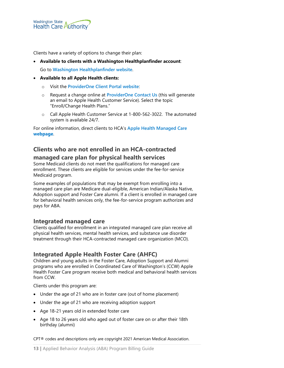

Clients have a variety of options to change their plan:

#### • **Available to clients with a Washington Healthplanfinder account**:

Go to **[Washington Healthplanfinder website](http://www.wahealthplanfinder.org/)**.

#### • **Available to all Apple Health clients:**

- o Visit the **[ProviderOne Client Portal website](https://www.providerone.wa.gov/)**:
- o Request a change online at **[ProviderOne Contact Us](https://fortress.wa.gov/hca/p1contactus)** (this will generate an email to Apple Health Customer Service). Select the topic "Enroll/Change Health Plans."
- o Call Apple Health Customer Service at 1-800-562-3022. The automated system is available 24/7.

For online information, direct clients to HCA's **[Apple Health Managed Care](https://www.hca.wa.gov/node/2446) [webpage](https://www.hca.wa.gov/node/2446)**.

# <span id="page-12-0"></span>**Clients who are not enrolled in an HCA-contracted managed care plan for physical health services**

Some Medicaid clients do not meet the qualifications for managed care enrollment. These clients are eligible for services under the fee-for-service Medicaid program.

Some examples of populations that may be exempt from enrolling into a managed care plan are Medicare dual-eligible, American Indian/Alaska Native, Adoption support and Foster Care alumni. If a client is enrolled in managed care for behavioral health services only, the fee-for-service program authorizes and pays for ABA.

#### <span id="page-12-1"></span>**Integrated managed care**

Clients qualified for enrollment in an integrated managed care plan receive all physical health services, mental health services, and substance use disorder treatment through their HCA-contracted managed care organization (MCO).

#### <span id="page-12-2"></span>**Integrated Apple Health Foster Care (AHFC)**

Children and young adults in the Foster Care, Adoption Support and Alumni programs who are enrolled in Coordinated Care of Washington's (CCW) Apple Health Foster Care program receive both medical and behavioral health services from CCW.

Clients under this program are:

- Under the age of 21 who are in foster care (out of home placement)
- Under the age of 21 who are receiving adoption support
- Age 18-21 years old in extended foster care
- Age 18 to 26 years old who aged out of foster care on or after their 18th birthday (alumni)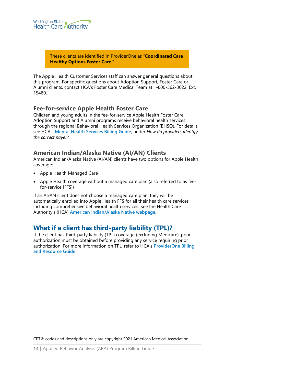

These clients are identified in ProviderOne as "**Coordinated Care Healthy Options Foster Care**."

The Apple Health Customer Services staff can answer general questions about this program. For specific questions about Adoption Support, Foster Care or Alumni clients, contact HCA's Foster Care Medical Team at 1-800-562-3022, Ext. 15480.

#### <span id="page-13-1"></span>**Fee-for-service Apple Health Foster Care**

Children and young adults in the fee-for-service Apple Health Foster Care, Adoption Support and Alumni programs receive behavioral health services through the regional Behavioral Health Services Organization (BHSO). For details, see HCA's **[Mental Health Services Billing Guide](https://www.hca.wa.gov/node/301)**, under *How do providers identify the correct payer*?

#### <span id="page-13-0"></span>**American Indian/Alaska Native (AI/AN) Clients**

American Indian/Alaska Native (AI/AN) clients have two options for Apple Health coverage:

- Apple Health Managed Care
- Apple Health coverage without a managed care plan (also referred to as feefor-service [FFS])

If an AI/AN client does not choose a managed care plan, they will be automatically enrolled into Apple Health FFS for all their health care services, including comprehensive behavioral health services. See the Health Care Authority's (HCA) **[American Indian/Alaska Native webpage](https://www.hca.wa.gov/node/826)**.

#### <span id="page-13-2"></span>**What if a client has third-party liability (TPL)?**

If the client has third-party liability (TPL) coverage (excluding Medicare), prior authorization must be obtained before providing any service requiring prior authorization. For more information on TPL, refer to HCA's **[ProviderOne Billing](http://www.hca.wa.gov/node/311)  [and Resource Guide](http://www.hca.wa.gov/node/311)**.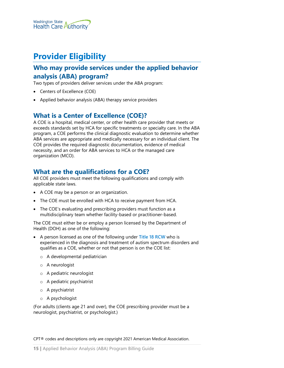

# <span id="page-14-1"></span>**Provider Eligibility**

# <span id="page-14-2"></span>**Who may provide services under the applied behavior analysis (ABA) program?**

Two types of providers deliver services under the ABA program:

- Centers of Excellence (COE)
- Applied behavior analysis (ABA) therapy service providers

# <span id="page-14-3"></span>**What is a Center of Excellence (COE)?**

A COE is a hospital, medical center, or other health care provider that meets or exceeds standards set by HCA for specific treatments or specialty care. In the ABA program, a COE performs the clinical diagnostic evaluation to determine whether ABA services are appropriate and medically necessary for an individual client. The COE provides the required diagnostic documentation, evidence of medical necessity, and an order for ABA services to HCA or the managed care organization (MCO).

# <span id="page-14-0"></span>**What are the qualifications for a COE?**

All COE providers must meet the following qualifications and comply with applicable state laws.

- A COE may be a person or an organization.
- The COE must be enrolled with HCA to receive payment from HCA.
- The COE's evaluating and prescribing providers must function as a multidisciplinary team whether facility-based or practitioner-based.

The COE must either be or employ a person licensed by the Department of Health (DOH) as one of the following:

- A person licensed as one of the following under **[Title 18 RCW](http://app.leg.wa.gov/RCW/default.aspx?cite=18)** who is experienced in the diagnosis and treatment of autism spectrum disorders and qualifies as a COE, whether or not that person is on the COE list:
	- o A developmental pediatrician
	- o A neurologist
	- o A pediatric neurologist
	- o A pediatric psychiatrist
	- o A psychiatrist
	- o A psychologist

(For adults (clients age 21 and over), the COE prescribing provider must be a neurologist, psychiatrist, or psychologist.)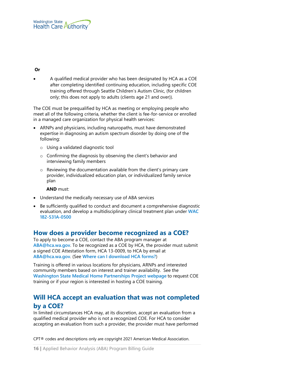#### **Or**

• A qualified medical provider who has been designated by HCA as a COE after completing identified continuing education, including specific COE training offered through Seattle Children's Autism Clinic, (for children only; this does not apply to adults (clients age 21 and over)).

The COE must be prequalified by HCA as meeting or employing people who meet all of the following criteria, whether the client is fee-for-service or enrolled in a managed care organization for physical health services:

- ARNPs and physicians, including naturopaths, must have demonstrated expertise in diagnosing an autism spectrum disorder by doing one of the following:
	- o Using a validated diagnostic tool
	- o Confirming the diagnosis by observing the client's behavior and interviewing family members
	- o Reviewing the documentation available from the client's primary care provider, individualized education plan, or individualized family service plan

#### **AND** must:

- Understand the medically necessary use of ABA services
- Be sufficiently qualified to conduct and document a comprehensive diagnostic evaluation, and develop a multidisciplinary clinical treatment plan under **[WAC](http://app.leg.wa.gov/WAC/default.aspx?cite=182-531A-0500)  [182-531A-0500](http://app.leg.wa.gov/WAC/default.aspx?cite=182-531A-0500)**

# <span id="page-15-0"></span>**How does a provider become recognized as a COE?**

To apply to become a COE, contact the ABA program manager at **[ABA@hca.wa.gov](mailto:ABA@hca.wa.gov)**. To be recognized as a COE by HCA, the provider must submit a signed COE Attestation form, HCA 13-0009, to HCA by email at **[ABA@hca.wa.gov](mailto:ABA@hca.wa.gov)**. (See **[Where can I download HCA](#page-1-1) forms?**)

Training is offered in various locations for physicians, ARNPs and interested community members based on interest and trainer availability. See the **[Washington State Medical Home Partnerships Project webpage](https://medicalhome.org/)** to request COE training or if your region is interested in hosting a COE training.

# <span id="page-15-1"></span>**Will HCA accept an evaluation that was not completed by a COE?**

In limited circumstances HCA may, at its discretion, accept an evaluation from a qualified medical provider who is not a recognized COE. For HCA to consider accepting an evaluation from such a provider, the provider must have performed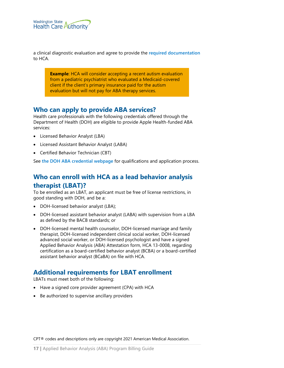

a clinical diagnostic evaluation and agree to provide the **[required documentation](#page-19-1)** to HCA.

**Example:** HCA will consider accepting a recent autism evaluation from a pediatric psychiatrist who evaluated a Medicaid-covered client if the client's primary insurance paid for the autism evaluation but will not pay for ABA therapy services.

#### <span id="page-16-0"></span>**Who can apply to provide ABA services?**

Health care professionals with the following credentials offered through the Department of Health (DOH) are eligible to provide Apple Health-funded ABA services:

- Licensed Behavior Analyst (LBA)
- Licensed Assistant Behavior Analyst (LABA)
- Certified Behavior Technician (CBT)

See **[the DOH ABA credential webpage](http://www.doh.wa.gov/licensespermitsandcertificates/professionsnewreneworupdate/appliedbehavioranalysis)** for qualifications and application process.

# <span id="page-16-1"></span>**Who can enroll with HCA as a lead behavior analysis therapist (LBAT)?**

To be enrolled as an LBAT, an applicant must be free of license restrictions, in good standing with DOH, and be a:

- DOH-licensed behavior analyst (LBA);
- DOH-licensed assistant behavior analyst (LABA) with supervision from a LBA as defined by the BACB standards; or
- DOH-licensed mental health counselor, DOH-licensed marriage and family therapist, DOH-licensed independent clinical social worker, DOH-licensed advanced social worker, or DOH-licensed psychologist and have a signed Applied Behavior Analysis (ABA) Attestation form, HCA 13-0008, regarding certification as a board-certified behavior analyst (BCBA) or a board-certified assistant behavior analyst (BCaBA) on file with HCA.

# <span id="page-16-2"></span>**Additional requirements for LBAT enrollment**

LBATs must meet both of the following:

- Have a signed core provider agreement (CPA) with HCA
- Be authorized to supervise ancillary providers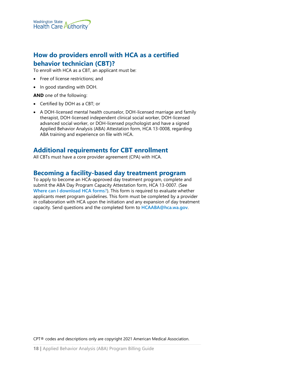

# <span id="page-17-0"></span>**How do providers enroll with HCA as a certified behavior technician (CBT)?**

To enroll with HCA as a CBT, an applicant must be:

- Free of license restrictions; and
- In good standing with DOH.

**AND** one of the following:

- Certified by DOH as a CBT; or
- A DOH-licensed mental health counselor, DOH-licensed marriage and family therapist, DOH-licensed independent clinical social worker, DOH-licensed advanced social worker, or DOH-licensed psychologist and have a signed Applied Behavior Analysis (ABA) Attestation form, HCA 13-0008, regarding ABA training and experience on file with HCA.

# <span id="page-17-1"></span>**Additional requirements for CBT enrollment**

All CBTs must have a core provider agreement (CPA) with HCA.

#### <span id="page-17-2"></span>**Becoming a facility-based day treatment program**

To apply to become an HCA-approved day treatment program, complete and submit the ABA Day Program Capacity Attestation form, HCA 13-0007. (See **[Where can I download HCA](#page-1-1) forms**?). This form is required to evaluate whether applicants meet program guidelines. This form must be completed by a provider in collaboration with HCA upon the initiation and any expansion of day treatment capacity. Send questions and the completed form to **[HCAABA@hca.wa.gov](mailto:HCAABA@hca.wa.gov)**.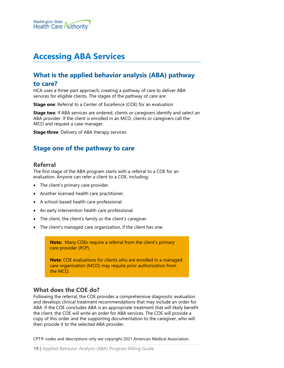

# <span id="page-18-0"></span>**Accessing ABA Services**

# <span id="page-18-1"></span>**What is the applied behavior analysis (ABA) pathway**

#### **to care?**

HCA uses a three-part approach, creating a pathway of care to deliver ABA services for eligible clients. The stages of the pathway of care are:

**Stage one**: Referral to a Center of Excellence (COE) for an evaluation

**Stage two**: If ABA services are ordered, clients or caregivers identify and select an ABA provider. If the client is enrolled in an MCO, clients or caregivers call the MCO and request a case manager.

**Stage three**: Delivery of ABA therapy services

# <span id="page-18-3"></span><span id="page-18-2"></span>**Stage one of the pathway to care**

#### **Referral**

The first stage of the ABA program starts with a referral to a COE for an evaluation. Anyone can refer a client to a COE, including:

- The client's primary care provider.
- Another licensed health care practitioner.
- A school-based health care professional.
- An early intervention health care professional.
- The client, the client's family or the client's caregiver.
- The client's managed care organization, if the client has one.

**Note:** Many COEs require a referral from the client's primary care provider (PCP).

**Note**: COE evaluations for clients who are enrolled in a managed care organization (MCO) may require prior authorization from the MCO.

#### <span id="page-18-4"></span>**What does the COE do?**

Following the referral, the COE provides a comprehensive diagnostic evaluation and develops clinical treatment recommendations that may include an order for ABA. If the COE concludes ABA is an appropriate treatment that will likely benefit the client, the COE will write an order for ABA services. The COE will provide a copy of this order and the supporting documentation to the caregiver, who will then provide it to the selected ABA provider.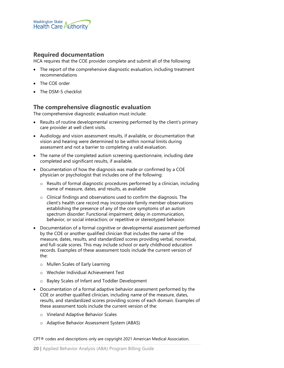

#### <span id="page-19-1"></span>**Required documentation**

HCA requires that the COE provider complete and submit all of the following:

- The report of the comprehensive diagnostic evaluation, including treatment recommendations
- The COE order
- The DSM-5 checklist

#### <span id="page-19-0"></span>**The comprehensive diagnostic evaluation**

The comprehensive diagnostic evaluation must include:

- Results of routine developmental screening performed by the client's primary care provider at well client visits.
- Audiology and vision assessment results, if available, or documentation that vision and hearing were determined to be within normal limits during assessment and not a barrier to completing a valid evaluation.
- The name of the completed autism screening questionnaire, including date completed and significant results, if available.
- Documentation of how the diagnosis was made or confirmed by a COE physician or psychologist that includes one of the following:
	- o Results of formal diagnostic procedures performed by a clinician, including name of measure, dates, and results, as available
	- o Clinical findings and observations used to confirm the diagnosis. The client's health care record may incorporate family member observations establishing the presence of any of the core symptoms of an autism spectrum disorder: Functional impairment; delay in communication, behavior, or social interaction; or repetitive or stereotyped behavior.
- Documentation of a formal cognitive or developmental assessment performed by the COE or another qualified clinician that includes the name of the measure, dates, results, and standardized scores providing verbal, nonverbal, and full-scale scores. This may include school or early childhood education records. Examples of these assessment tools include the current version of the:
	- o Mullen Scales of Early Learning
	- o Wechsler Individual Achievement Test
	- o Bayley Scales of Infant and Toddler Development
- Documentation of a formal adaptive behavior assessment performed by the COE or another qualified clinician, including name of the measure, dates, results, and standardized scores providing scores of each domain. Examples of these assessment tools include the current version of the:
	- o Vineland Adaptive Behavior Scales
	- o Adaptive Behavior Assessment System (ABAS)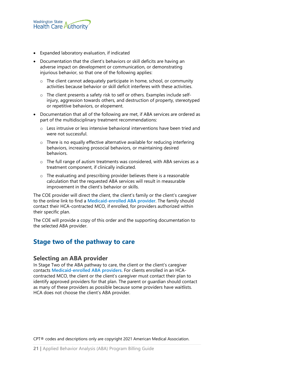

- Expanded laboratory evaluation, if indicated
- Documentation that the client's behaviors or skill deficits are having an adverse impact on development or communication, or demonstrating injurious behavior, so that one of the following applies:
	- $\circ$  The client cannot adequately participate in home, school, or community activities because behavior or skill deficit interferes with these activities.
	- o The client presents a safety risk to self or others. Examples include selfinjury, aggression towards others, and destruction of property, stereotyped or repetitive behaviors, or elopement.
- Documentation that all of the following are met, if ABA services are ordered as part of the multidisciplinary treatment recommendations:
	- o Less intrusive or less intensive behavioral interventions have been tried and were not successful.
	- o There is no equally effective alternative available for reducing interfering behaviors, increasing prosocial behaviors, or maintaining desired behaviors.
	- $\circ$  The full range of autism treatments was considered, with ABA services as a treatment component, if clinically indicated.
	- o The evaluating and prescribing provider believes there is a reasonable calculation that the requested ABA services will result in measurable improvement in the client's behavior or skills.

The COE provider will direct the client, the client's family or the client's caregiver to the online link to find a **[Medicaid-enrolled ABA provider](https://www.hca.wa.gov/assets/billers-and-providers/medicaid-enrolled-aba-providers.pdf)**. The family should contact their HCA-contracted MCO, if enrolled, for providers authorized within their specific plan.

The COE will provide a copy of this order and the supporting documentation to the selected ABA provider.

#### <span id="page-20-1"></span><span id="page-20-0"></span>**Stage two of the pathway to care**

#### **Selecting an ABA provider**

In Stage Two of the ABA pathway to care, the client or the client's caregiver contacts **[Medicaid-enrolled ABA providers](https://www.hca.wa.gov/assets/billers-and-providers/medicaid-enrolled-aba-providers.pdf)**. For clients enrolled in an HCAcontracted MCO, the client or the client's caregiver must contact their plan to identify approved providers for that plan. The parent or guardian should contact as many of these providers as possible because some providers have waitlists. HCA does not choose the client's ABA provider.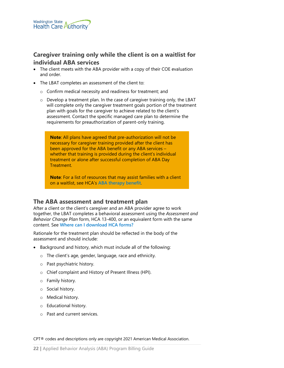

# <span id="page-21-0"></span>**Caregiver training only while the client is on a waitlist for individual ABA services**

- The client meets with the ABA provider with a copy of their COE evaluation and order.
- The LBAT completes an assessment of the client to:
	- o Confirm medical necessity and readiness for treatment; and
	- o Develop a treatment plan. In the case of caregiver training only, the LBAT will complete only the caregiver treatment goals portion of the treatment plan with goals for the caregiver to achieve related to the client's assessment. Contact the specific managed care plan to determine the requirements for preauthorization of parent-only training.

**Note**: All plans have agreed that pre-authorization will not be necessary for caregiver training provided after the client has been approved for the ABA benefit or any ABA services – whether that training is provided during the client's individual treatment or alone after successful completion of ABA Day Treatment.

**Note**: For a list of resources that may assist families with a client on a waitlist, see HCA's **[ABA therapy benefit](http://www.hca.wa.gov/billers-providers/programs-and-services/autism-and-applied-behavior-analysis-aba-therapy)**.

#### <span id="page-21-1"></span>**The ABA assessment and treatment plan**

After a client or the client's caregiver and an ABA provider agree to work together, the LBAT completes a behavioral assessment using the *Assessment and Behavior Change Plan* form, HCA 13-400, or an equivalent form with the same content. See **[Where can I download HCA](#page-1-1) forms?**

Rationale for the treatment plan should be reflected in the body of the assessment and should include:

- Background and history, which must include all of the following:
	- o The client's age, gender, language, race and ethnicity.
	- o Past psychiatric history.
	- o Chief complaint and History of Present Illness (HPI).
	- o Family history.
	- o Social history.
	- o Medical history.
	- o Educational history.
	- o Past and current services.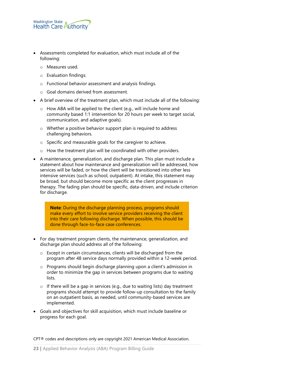

- Assessments completed for evaluation, which must include all of the following:
	- o Measures used.
	- o Evaluation findings.
	- o Functional behavior assessment and analysis findings.
	- o Goal domains derived from assessment.
- A brief overview of the treatment plan, which must include all of the following:
	- o How ABA will be applied to the client (e.g., will include home and community based 1:1 intervention for 20 hours per week to target social, communication, and adaptive goals).
	- o Whether a positive behavior support plan is required to address challenging behaviors.
	- o Specific and measurable goals for the caregiver to achieve.
	- o How the treatment plan will be coordinated with other providers.
- A maintenance, generalization, and discharge plan. This plan must include a statement about how maintenance and generalization will be addressed, how services will be faded, or how the client will be transitioned into other less intensive services (such as school, outpatient). At intake, this statement may be broad, but should become more specific as the client progresses in therapy. The fading plan should be specific, data-driven, and include criterion for discharge.

**Note**: During the discharge planning process, programs should make every effort to involve service providers receiving the client into their care following discharge. When possible, this should be done through face-to-face case conferences.

- For day treatment program clients, the maintenance, generalization, and discharge plan should address all of the following:
	- o Except in certain circumstances, clients will be discharged from the program after 48 service days normally provided within a 12-week period.
	- o Programs should begin discharge planning upon a client's admission in order to minimize the gap in services between programs due to waiting lists.
	- $\circ$  If there will be a gap in services (e.g., due to waiting lists) day treatment programs should attempt to provide follow-up consultation to the family on an outpatient basis, as needed, until community-based services are implemented.
- Goals and objectives for skill acquisition, which must include baseline or progress for each goal.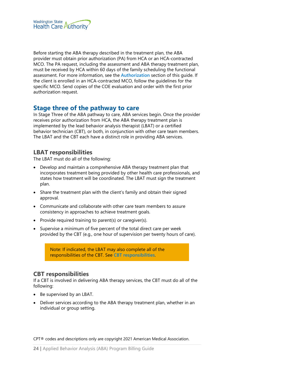

Before starting the ABA therapy described in the treatment plan, the ABA provider must obtain prior authorization (PA) from HCA or an HCA-contracted MCO. The PA request, including the assessment and ABA therapy treatment plan, must be received by HCA within 60 days of the family scheduling the functional assessment. For more information, see the **[Authorization](#page-33-0)** section of this guide. If the client is enrolled in an HCA-contracted MCO, follow the guidelines for the specific MCO. Send copies of the COE evaluation and order with the first prior authorization request.

#### <span id="page-23-0"></span>**Stage three of the pathway to care**

In Stage Three of the ABA pathway to care, ABA services begin. Once the provider receives prior authorization from HCA, the ABA therapy treatment plan is implemented by the lead behavior analysis therapist (LBAT) or a certified behavior technician (CBT), or both, in conjunction with other care team members. The LBAT and the CBT each have a distinct role in providing ABA services.

#### <span id="page-23-1"></span>**LBAT responsibilities**

The LBAT must do all of the following:

- Develop and maintain a comprehensive ABA therapy treatment plan that incorporates treatment being provided by other health care professionals, and states how treatment will be coordinated. The LBAT must sign the treatment plan.
- Share the treatment plan with the client's family and obtain their signed approval.
- Communicate and collaborate with other care team members to assure consistency in approaches to achieve treatment goals.
- Provide required training to parent(s) or caregiver(s).
- Supervise a minimum of five percent of the total direct care per week provided by the CBT (e.g., one hour of supervision per twenty hours of care).

Note: If indicated, the LBAT may also complete all of the responsibilities of the CBT. See **[CBT responsibilities](#page-23-2)**.

#### <span id="page-23-2"></span>**CBT responsibilities**

If a CBT is involved in delivering ABA therapy services, the CBT must do all of the following:

- Be supervised by an LBAT.
- Deliver services according to the ABA therapy treatment plan, whether in an individual or group setting.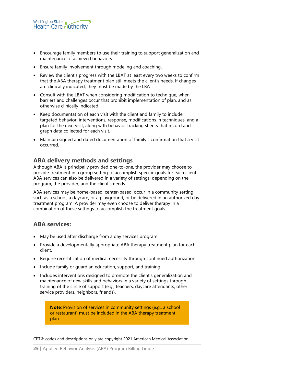

- Encourage family members to use their training to support generalization and maintenance of achieved behaviors.
- Ensure family involvement through modeling and coaching.
- Review the client's progress with the LBAT at least every two weeks to confirm that the ABA therapy treatment plan still meets the client's needs. If changes are clinically indicated, they must be made by the LBAT.
- Consult with the LBAT when considering modification to technique, when barriers and challenges occur that prohibit implementation of plan, and as otherwise clinically indicated.
- Keep documentation of each visit with the client and family to include targeted behavior, interventions, response, modifications in techniques, and a plan for the next visit, along with behavior tracking sheets that record and graph data collected for each visit.
- Maintain signed and dated documentation of family's confirmation that a visit occurred.

#### <span id="page-24-0"></span>**ABA delivery methods and settings**

Although ABA is principally provided one-to-one, the provider may choose to provide treatment in a group setting to accomplish specific goals for each client. ABA services can also be delivered in a variety of settings, depending on the program, the provider, and the client's needs.

ABA services may be home-based, center-based, occur in a community setting, such as a school, a daycare, or a playground, or be delivered in an authorized day treatment program. A provider may even choose to deliver therapy in a combination of these settings to accomplish the treatment goals.

#### <span id="page-24-1"></span>**ABA services:**

- May be used after discharge from a day services program.
- Provide a developmentally appropriate ABA therapy treatment plan for each client.
- Require recertification of medical necessity through continued authorization.
- Include family or guardian education, support, and training.
- Includes interventions designed to promote the client's generalization and maintenance of new skills and behaviors in a variety of settings through training of the circle of support (e.g., teachers, daycare attendants, other service providers, neighbors, friends).

**Note**: Provision of services in community settings (e.g., a school or restaurant) must be included in the ABA therapy treatment plan.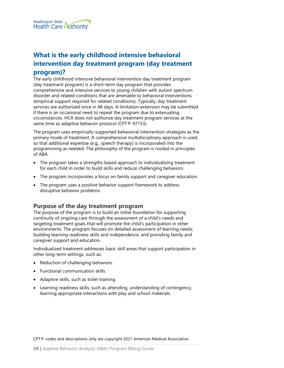

# <span id="page-25-0"></span>**What is the early childhood intensive behavioral intervention day treatment program (day treatment program)?**

The early childhood intensive behavioral intervention day treatment program (day treatment program) is a short-term day program that provides comprehensive and intensive services to young children with autism spectrum disorder and related conditions that are amenable to behavioral interventions (empirical support required for related conditions). Typically, day treatment services are authorized once in 48 days. A limitation extension may be submitted if there is an occasional need to repeat the program due to extenuating circumstances. HCA does not authorize day treatment program services at the same time as adaptive behavior protocol (CPT® 97153).

The program uses empirically-supported behavioral intervention strategies as the primary mode of treatment. A comprehensive multidisciplinary approach is used, so that additional expertise (e.g., speech therapy) is incorporated into the programming as needed. The philosophy of the program is rooted in principles of ABA.

- The program takes a strengths-based approach to individualizing treatment for each child in order to build skills and reduce challenging behaviors.
- The program incorporates a focus on family support and caregiver education.
- The program uses a positive behavior support framework to address disruptive behavior problems.

#### <span id="page-25-1"></span>**Purpose of the day treatment program**

The purpose of the program is to build an initial foundation for supporting continuity of ongoing care through the assessment of a child's needs and targeting treatment goals that will promote the child's participation in other environments. The program focuses on detailed assessment of learning needs, building learning readiness skills and independence, and providing family and caregiver support and education.

Individualized treatment addresses basic skill areas that support participation in other long-term settings, such as:

- Reduction of challenging behaviors.
- Functional communication skills.
- Adaptive skills, such as toilet training.
- Learning readiness skills, such as attending, understanding of contingency, learning appropriate interactions with play and school materials.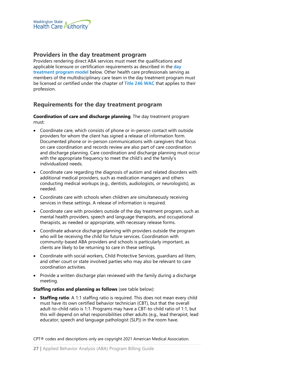

#### <span id="page-26-0"></span>**Providers in the day treatment program**

Providers rendering direct ABA services must meet the qualifications and applicable licensure or certification requirements as described in the **[day](#page-28-1)  [treatment program model](#page-28-1)** below. Other health care professionals serving as members of the multidisciplinary care team in the day treatment program must be licensed or certified under the chapter of **[Title 246 WAC](http://app.leg.wa.gov/wac/default.aspx?cite=246)** that applies to their profession.

#### <span id="page-26-1"></span>**Requirements for the day treatment program**

**Coordination of care and discharge planning**. The day treatment program must:

- Coordinate care, which consists of phone or in-person contact with outside providers for whom the client has signed a release of information form. Documented phone or in-person communications with caregivers that focus on care coordination and records review are also part of care coordination and discharge planning. Care coordination and discharge planning must occur with the appropriate frequency to meet the child's and the family's individualized needs.
- Coordinate care regarding the diagnosis of autism and related disorders with additional medical providers, such as medication managers and others conducting medical workups (e.g., dentists, audiologists, or neurologists), as needed.
- Coordinate care with schools when children are simultaneously receiving services in these settings. A release of information is required.
- Coordinate care with providers outside of the day treatment program, such as mental health providers, speech and language therapists, and occupational therapists, as needed or appropriate, with necessary release forms.
- Coordinate advance discharge planning with providers outside the program who will be receiving the child for future services. Coordination with community-based ABA providers and schools is particularly important, as clients are likely to be returning to care in these settings.
- Coordinate with social workers, Child Protective Services, guardians ad litem, and other court or state involved parties who may also be relevant to care coordination activities.
- Provide a written discharge plan reviewed with the family during a discharge meeting.

#### **Staffing ratios and planning as follows** (see table below):

• **Staffing ratio**: A 1:1 staffing ratio is required. This does not mean every child must have its own certified behavior technician (CBT), but that the overall adult-to-child ratio is 1:1. Programs may have a CBT-to-child ratio of 1:1, but this will depend on what responsibilities other adults (e.g., lead therapist, lead educator, speech and language pathologist (SLP)) in the room have.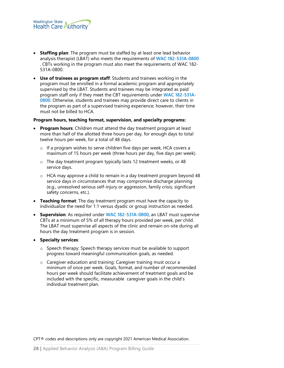- **Staffing plan**: The program must be staffed by at least one lead behavior analysis therapist (LBAT) who meets the requirements of **WAC [182-531A-0800](http://app.leg.wa.gov/wac/default.aspx?cite=182-531A-0800)** . CBTs working in the program must also meet the requirements of WAC 182- 531A-0800.
- **Use of trainees as program staff**: Students and trainees working in the program must be enrolled in a formal academic program and appropriately supervised by the LBAT. Students and trainees may be integrated as paid program staff only if they meet the CBT requirements under **[WAC 182-531A-](http://app.leg.wa.gov/wac/default.aspx?cite=182-531A-0800)[0800](http://app.leg.wa.gov/wac/default.aspx?cite=182-531A-0800)**. Otherwise, students and trainees may provide direct care to clients in the program as part of a supervised training experience; however, their time must not be billed to HCA.

#### **Program hours, teaching format, supervision, and specialty programs:**

- **Program hours**: Children must attend the day treatment program at least more than half of the allotted three hours per day, for enough days to total twelve hours per week, for a total of 48 days.
	- o If a program wishes to serve children five days per week, HCA covers a maximum of 15 hours per week (three hours per day, five days per week).
	- o The day treatment program typically lasts 12 treatment weeks, or 48 service days.
	- o HCA may approve a child to remain in a day treatment program beyond 48 service days in circumstances that may compromise discharge planning (e.g., unresolved serious self-injury or aggression, family crisis, significant safety concerns, etc.).
- **Teaching format**: The day treatment program must have the capacity to individualize the need for 1:1 versus dyadic or group instruction as needed.
- **Supervision**: As required under **[WAC 182-531A-0800](http://app.leg.wa.gov/wac/default.aspx?cite=182-531A-0800)**, an LBAT must supervise CBTs at a minimum of 5% of all therapy hours provided per week, per child. The LBAT must supervise all aspects of the clinic and remain on-site during all hours the day treatment program is in session.

#### • **Specialty services**:

- o Speech therapy: Speech therapy services must be available to support progress toward meaningful communication goals, as needed.
- o Caregiver education and training: Caregiver training must occur a minimum of once per week. Goals, format, and number of recommended hours per week should facilitate achievement of treatment goals and be included with the specific, measurable caregiver goals in the child's individual treatment plan.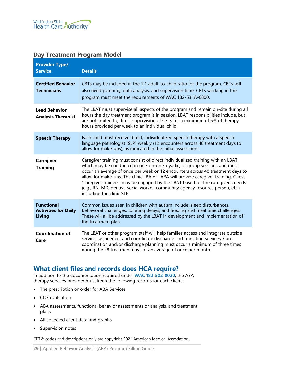#### <span id="page-28-1"></span>**Day Treatment Program Model**

| <b>Provider Type/</b><br><b>Service</b>                           | <b>Details</b>                                                                                                                                                                                                                                                                                                                                                                                                                                                                                                                       |
|-------------------------------------------------------------------|--------------------------------------------------------------------------------------------------------------------------------------------------------------------------------------------------------------------------------------------------------------------------------------------------------------------------------------------------------------------------------------------------------------------------------------------------------------------------------------------------------------------------------------|
| <b>Certified Behavior</b><br><b>Technicians</b>                   | CBTs may be included in the 1:1 adult-to-child ratio for the program. CBTs will<br>also need planning, data analysis, and supervision time. CBTs working in the<br>program must meet the requirements of WAC 182-531A-0800.                                                                                                                                                                                                                                                                                                          |
| <b>Lead Behavior</b><br><b>Analysis Therapist</b>                 | The LBAT must supervise all aspects of the program and remain on-site during all<br>hours the day treatment program is in session. LBAT responsibilities include, but<br>are not limited to, direct supervision of CBTs for a minimum of 5% of therapy<br>hours provided per week to an individual child.                                                                                                                                                                                                                            |
| <b>Speech Therapy</b>                                             | Each child must receive direct, individualized speech therapy with a speech<br>language pathologist (SLP) weekly (12 encounters across 48 treatment days to<br>allow for make-ups), as indicated in the initial assessment.                                                                                                                                                                                                                                                                                                          |
| <b>Caregiver</b><br><b>Training</b>                               | Caregiver training must consist of direct individualized training with an LBAT,<br>which may be conducted in one-on-one, dyadic, or group sessions and must<br>occur an average of once per week or 12 encounters across 48 treatment days to<br>allow for make-ups. The clinic LBA or LABA will provide caregiver training. Guest<br>"caregiver trainers" may be engaged by the LBAT based on the caregiver's needs<br>(e.g., RN, MD, dentist, social worker, community agency resource person, etc.),<br>including the clinic SLP. |
| <b>Functional</b><br><b>Activities for Daily</b><br><b>Living</b> | Common issues seen in children with autism include: sleep disturbances,<br>behavioral challenges, toileting delays, and feeding and meal time challenges.<br>These will all be addressed by the LBAT in development and implementation of<br>the treatment plan                                                                                                                                                                                                                                                                      |
| <b>Coordination of</b><br>Care                                    | The LBAT or other program staff will help families access and integrate outside<br>services as needed, and coordinate discharge and transition services. Care<br>coordination and/or discharge planning must occur a minimum of three times<br>during the 48 treatment days or an average of once per month.                                                                                                                                                                                                                         |

# <span id="page-28-0"></span>**What client files and records does HCA require?**

In addition to the documentation required under **[WAC 182-502-0020](http://app.leg.wa.gov/wac/default.aspx?cite=182-502-0020)**, the ABA therapy services provider must keep the following records for each client:

- The prescription or order for ABA Services
- COE evaluation
- ABA assessments, functional behavior assessments or analysis, and treatment plans
- All collected client data and graphs
- Supervision notes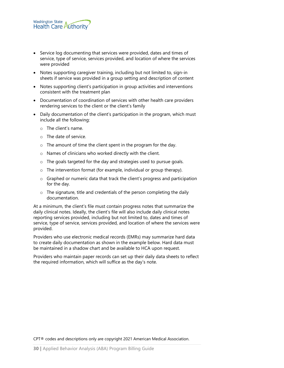

- Service log documenting that services were provided, dates and times of service, type of service, services provided, and location of where the services were provided
- Notes supporting caregiver training, including but not limited to, sign-in sheets if service was provided in a group setting and description of content
- Notes supporting client's participation in group activities and interventions consistent with the treatment plan
- Documentation of coordination of services with other health care providers rendering services to the client or the client's family
- Daily documentation of the client's participation in the program, which must include all the following:
	- o The client's name.
	- o The date of service.
	- o The amount of time the client spent in the program for the day.
	- o Names of clinicians who worked directly with the client.
	- o The goals targeted for the day and strategies used to pursue goals.
	- o The intervention format (for example, individual or group therapy).
	- o Graphed or numeric data that track the client's progress and participation for the day.
	- o The signature, title and credentials of the person completing the daily documentation.

At a minimum, the client's file must contain progress notes that summarize the daily clinical notes. Ideally, the client's file will also include daily clinical notes reporting services provided, including but not limited to, dates and times of service, type of service, services provided, and location of where the services were provided.

Providers who use electronic medical records (EMRs) may summarize hard data to create daily documentation as shown in the example below. Hard data must be maintained in a shadow chart and be available to HCA upon request.

Providers who maintain paper records can set up their daily data sheets to reflect the required information, which will suffice as the day's note.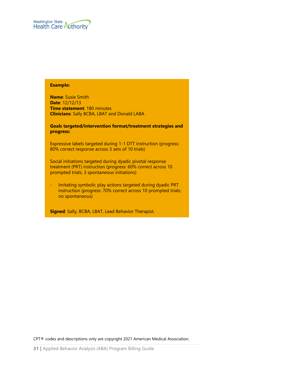

#### **Example:**

**Name**: Susie Smith **Date**: 12/12/13 **Time statement**: 180 minutes **Clinicians**: Sally BCBA, LBAT and Donald LABA

**Goals targeted/intervention format/treatment strategies and progress:** 

Expressive labels targeted during 1-1 DTT instruction (progress: 80% correct response across 3 sets of 10 trials)

Social initiations targeted during dyadic pivotal response treatment (PRT) instruction (progress: 60% correct across 10 prompted trials; 3 spontaneous initiations)

Imitating symbolic play actions targeted during dyadic PRT instruction (progress: 70% correct across 10 prompted trials; no spontaneous)

**Signed**: Sally, BCBA, LBAT, Lead Behavior Therapist.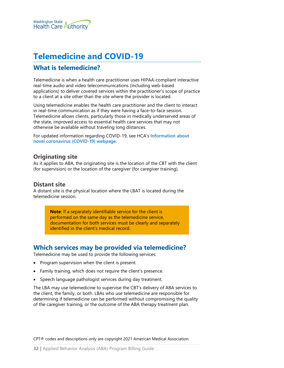

# <span id="page-31-0"></span>**Telemedicine and COVID-19**

# <span id="page-31-1"></span>**What is telemedicine?**

Telemedicine is when a health care practitioner uses HIPAA-compliant interactive real-time audio and video telecommunications (including web-based applications) to deliver covered services within the practitioner's scope of practice to a client at a site other than the site where the provider is located.

Using telemedicine enables the health care practitioner and the client to interact in real-time communication as if they were having a face-to-face session. Telemedicine allows clients, particularly those in medically underserved areas of the state, improved access to essential health care services that may not otherwise be available without traveling long distances.

For updated information regarding COVID-19, see HCA's **[Information about](https://www.hca.wa.gov/assets/billers-and-providers/apple-health-applied-behavior-analysis-policy-and-billing-COVID-19.pdf)  [novel coronavirus \(COVID-19\) webpage](https://www.hca.wa.gov/assets/billers-and-providers/apple-health-applied-behavior-analysis-policy-and-billing-COVID-19.pdf)**.

#### <span id="page-31-2"></span>**Originating site**

As it applies to ABA, the originating site is the location of the CBT with the client (for supervision) or the location of the caregiver (for caregiver training).

#### <span id="page-31-3"></span>**Distant site**

A distant site is the physical location where the LBAT is located during the telemedicine session.

> **Note**: If a separately identifiable service for the client is performed on the same day as the telemedicine service, documentation for both services must be clearly and separately identified in the client's medical record.

# <span id="page-31-4"></span>**Which services may be provided via telemedicine?**

Telemedicine may be used to provide the following services:

- Program supervision when the client is present.
- Family training, which does not require the client's presence.
- Speech language pathologist services during day treatment.

The LBA may use telemedicine to supervise the CBT's delivery of ABA services to the client, the family, or both. LBAs who use telemedicine are responsible for determining if telemedicine can be performed without compromising the quality of the caregiver training, or the outcome of the ABA therapy treatment plan.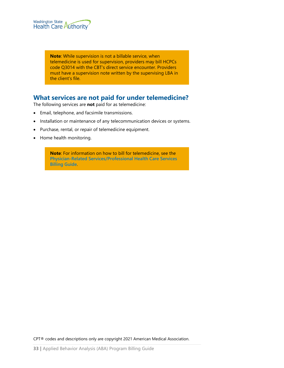

**Note**: While supervision is not a billable service, when telemedicine is used for supervision, providers may bill HCPCs code Q3014 with the CBT's direct service encounter. Providers must have a supervision note written by the supervising LBA in the client's file.

# <span id="page-32-0"></span>**What services are not paid for under telemedicine?**

The following services are **not** paid for as telemedicine:

- Email, telephone, and facsimile transmissions.
- Installation or maintenance of any telecommunication devices or systems.
- Purchase, rental, or repair of telemedicine equipment.
- Home health monitoring.

**Note**: For information on how to bill for telemedicine, see the **[Physician-Related Services/Professional Health Care Services](http://www.hca.wa.gov/node/301)  [Billing Guide](http://www.hca.wa.gov/node/301)**.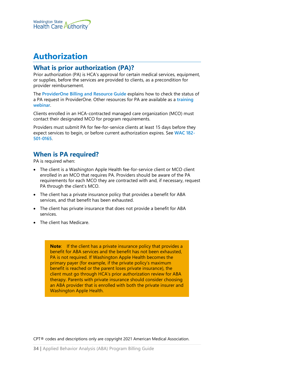

# <span id="page-33-0"></span>**Authorization**

#### <span id="page-33-1"></span>**What is prior authorization (PA)?**

Prior authorization (PA) is HCA's approval for certain medical services, equipment, or supplies, before the services are provided to clients, as a precondition for provider reimbursement.

The **[ProviderOne Billing and Resource Guide](http://www.hca.wa.gov/node/311)** explains how to check the status of a PA request in ProviderOne. Other resources for PA are available as a **[training](http://www.hca.wa.gov/node/126)  [webinar](http://www.hca.wa.gov/node/126)**.

Clients enrolled in an HCA-contracted managed care organization (MCO) must contact their designated MCO for program requirements.

Providers must submit PA for fee-for-service clients at least 15 days before they expect services to begin, or before current authorization expires. See **[WAC 182-](https://app.leg.wa.gov/WAC/default.aspx?cite=182-501-0165) [501-0165](https://app.leg.wa.gov/WAC/default.aspx?cite=182-501-0165)**.

# <span id="page-33-2"></span>**When is PA required?**

PA is required when:

- The client is a Washington Apple Health fee-for-service client or MCO client enrolled in an MCO that requires PA. Providers should be aware of the PA requirements for each MCO they are contracted with and, if necessary, request PA through the client's MCO.
- The client has a private insurance policy that provides a benefit for ABA services, and that benefit has been exhausted.
- The client has private insurance that does not provide a benefit for ABA services.
- The client has Medicare.

**Note:** If the client has a private insurance policy that provides a benefit for ABA services and the benefit has not been exhausted, PA is not required. If Washington Apple Health becomes the primary payer (for example, if the private policy's maximum benefit is reached or the parent loses private insurance), the client must go through HCA's prior authorization review for ABA therapy. Parents with private insurance should consider choosing an ABA provider that is enrolled with both the private insurer and Washington Apple Health.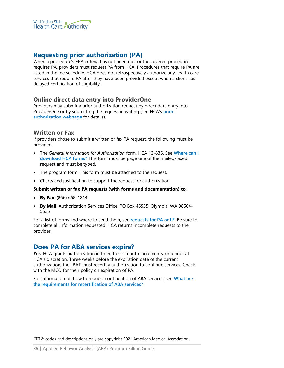

# <span id="page-34-0"></span>**Requesting prior authorization (PA)**

When a procedure's EPA criteria has not been met or the covered procedure requires PA, providers must request PA from HCA. Procedures that require PA are listed in the fee schedule. HCA does not retrospectively authorize any health care services that require PA after they have been provided except when a client has delayed certification of eligibility.

#### <span id="page-34-1"></span>**Online direct data entry into ProviderOne**

Providers may submit a prior authorization request by direct data entry into ProviderOne or by submitting the request in writing (see HCA's **[prior](https://www.hca.wa.gov/billers-providers-partners/prior-authorization-claims-and-billing/prior-authorization-pa)  [authorization webpage](https://www.hca.wa.gov/billers-providers-partners/prior-authorization-claims-and-billing/prior-authorization-pa)** for details).

#### <span id="page-34-2"></span>**Written or Fax**

If providers chose to submit a written or fax PA request, the following must be provided:

- The *General Information for Authorization* form, HCA 13-835. See **[Where can I](#page-1-1)  [download HCA forms?](#page-1-1)** This form must be page one of the mailed/faxed request and must be typed.
- The program form. This form must be attached to the request.
- Charts and justification to support the request for authorization.

#### **Submit written or fax PA requests (with forms and documentation) to**:

- **By Fax**: (866) 668-1214
- **By Mail**: Authorization Services Office, PO Box 45535, Olympia, WA 98504- 5535

For a list of forms and where to send them, see **[requests for PA or LE](#page-7-1)**. Be sure to complete all information requested. HCA returns incomplete requests to the provider.

# <span id="page-34-3"></span>**Does PA for ABA services expire?**

**Yes**. HCA grants authorization in three to six-month increments, or longer at HCA's discretion. Three weeks before the expiration date of the current authorization, the LBAT must recertify authorization to continue services. Check with the MCO for their policy on expiration of PA.

For information on how to request continuation of ABA services, see **[What are](#page-35-1)  [the requirements for recertification of ABA services?](#page-35-1)**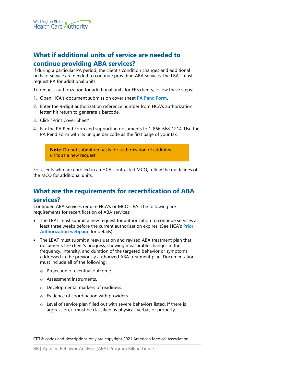

# <span id="page-35-0"></span>**What if additional units of service are needed to continue providing ABA services?**

If during a particular PA period, the client's condition changes and additional units of service are needed to continue providing ABA services, the LBAT must request PA for additional units.

To request authorization for additional units for FFS clients, follow these steps:

- 1. Open HCA's document submission cover sheet **[PA Pend Form](http://www.hca.wa.gov/assets/billers-and-providers/49_pa_pend_forms.pdf)**.
- 2. Enter the 9-digit authorization reference number from HCA's authorization letter; hit return to generate a barcode.
- 3. Click "Print Cover Sheet"
- 4. Fax the PA Pend Form and supporting documents to 1-866-668-1214. Use the PA Pend Form with its unique bar code as the first page of your fax.

**Note**: Do not submit requests for authorization of additional units as a new request.

For clients who are enrolled in an HCA-contracted MCO, follow the guidelines of the MCO for additional units.

# <span id="page-35-1"></span>**What are the requirements for recertification of ABA**

#### **services?**

Continued ABA services require HCA's or MCO's PA. The following are requirements for recertification of ABA services:

- The LBAT must submit a new request for authorization to continue services at least three weeks before the current authorization expires. (See HCA's **[Prior](https://www.hca.wa.gov/billers-providers-partners/prior-authorization-claims-and-billing/prior-authorization-pa)  [Authorization webpage](https://www.hca.wa.gov/billers-providers-partners/prior-authorization-claims-and-billing/prior-authorization-pa)** for details)
- The LBAT must submit a reevaluation and revised ABA treatment plan that documents the client's progress, showing measurable changes in the frequency, intensity, and duration of the targeted behavior or symptoms addressed in the previously authorized ABA treatment plan. Documentation must include all of the following:
	- o Projection of eventual outcome.
	- o Assessment instruments.
	- o Developmental markers of readiness.
	- o Evidence of coordination with providers.
	- o Level of service plan filled out with severe behaviors listed. If there is aggression, it must be classified as physical, verbal, or property.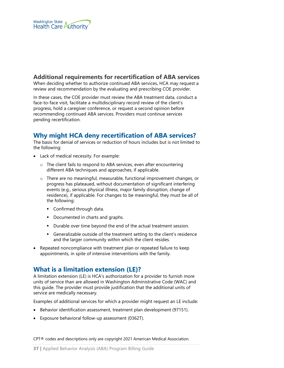

#### <span id="page-36-1"></span>**Additional requirements for recertification of ABA services**

When deciding whether to authorize continued ABA services, HCA may request a review and recommendation by the evaluating and prescribing COE provider.

In these cases, the COE provider must review the ABA treatment data, conduct a face-to-face visit, facilitate a multidisciplinary record review of the client's progress, hold a caregiver conference, or request a second opinion before recommending continued ABA services. Providers must continue services pending recertification.

# <span id="page-36-0"></span>**Why might HCA deny recertification of ABA services?**

The basis for denial of services or reduction of hours includes but is not limited to the following:

- Lack of medical necessity. For example:
	- o The client fails to respond to ABA services, even after encountering different ABA techniques and approaches, if applicable.
	- o There are no meaningful, measurable, functional improvement changes, or progress has plateaued, without documentation of significant interfering events (e.g., serious physical illness, major family disruption, change of residence), if applicable. For changes to be meaningful, they must be all of the following:
		- **Confirmed through data.**
		- **•** Documented in charts and graphs.
		- Durable over time beyond the end of the actual treatment session.
		- Generalizable outside of the treatment setting to the client's residence and the larger community within which the client resides.
- Repeated noncompliance with treatment plan or repeated failure to keep appointments, in spite of intensive interventions with the family.

# <span id="page-36-2"></span>**What is a limitation extension (LE)?**

A limitation extension (LE) is HCA's authorization for a provider to furnish more units of service than are allowed in Washington Administrative Code (WAC) and this guide. The provider must provide justification that the additional units of service are medically necessary.

Examples of additional services for which a provider might request an LE include:

- Behavior identification assessment, treatment plan development (97151).
- Exposure behavioral follow-up assessment (0362T).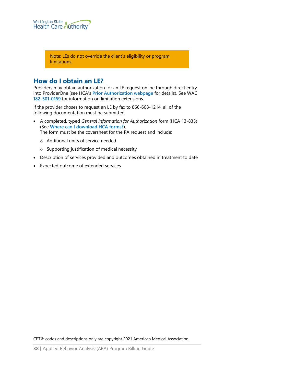

Note: LEs do not override the client's eligibility or program limitations.

#### <span id="page-37-0"></span>**How do I obtain an LE?**

Providers may obtain authorization for an LE request online through direct entry into ProviderOne (see HCA's **[Prior Authorization webpage](https://www.hca.wa.gov/billers-providers-partners/prior-authorization-claims-and-billing/prior-authorization-pa)** for details). See WAC **[182-501-0169](https://apps.leg.wa.gov/wac/default.aspx?cite=182-501-0169)** for information on limitation extensions.

If the provider choses to request an LE by fax to 866-668-1214, all of the following documentation must be submitted:

- A completed, typed *General Information for Authorization* form (HCA 13-835) (See **[Where can I download HCA](#page-1-1) forms?**). The form must be the coversheet for the PA request and include:
	- o Additional units of service needed
	- o Supporting justification of medical necessity
- Description of services provided and outcomes obtained in treatment to date
- Expected outcome of extended services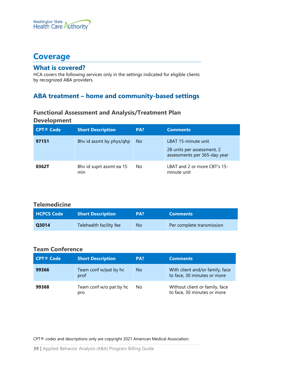

# <span id="page-38-0"></span>**Coverage**

#### <span id="page-38-1"></span>**What is covered?**

HCA covers the following services only in the settings indicated for eligible clients by recognized ABA providers.

# <span id="page-38-3"></span><span id="page-38-2"></span>**ABA treatment – home and community-based settings**

# **Functional Assessment and Analysis/Treatment Plan**

#### **Development**

| <b>CPT® Code</b> | <b>Short Description</b>        | PA? | <b>Comments</b>                                                                   |
|------------------|---------------------------------|-----|-----------------------------------------------------------------------------------|
| 97151            | Bhy id assmt by phys/qhp        | No. | LBAT 15-minute unit<br>28 units per assessment, 2<br>assessments per 365-day year |
| 0362T            | Bhy id suprt assmt ea 15<br>min | No  | LBAT and 2 or more CBT's 15-<br>minute unit                                       |

#### <span id="page-38-4"></span>**Telemedicine**

| <b>HCPCS Code</b> | <b>Short Description</b> | PA? | <b>Comments</b>           |
|-------------------|--------------------------|-----|---------------------------|
| Q3014             | Telehealth facility fee  | No  | Per complete transmission |

#### <span id="page-38-5"></span>**Team Conference**

| <b>CPT® Code</b> | <b>Short Description</b>       | PA? | <b>Comments</b>                                                |
|------------------|--------------------------------|-----|----------------------------------------------------------------|
| 99366            | Team conf w/pat by hc<br>prof  | No. | With client and/or family, face<br>to face, 30 minutes or more |
| 99368            | Team conf w/o pat by hc<br>pro | No  | Without client or family, face<br>to face, 30 minutes or more  |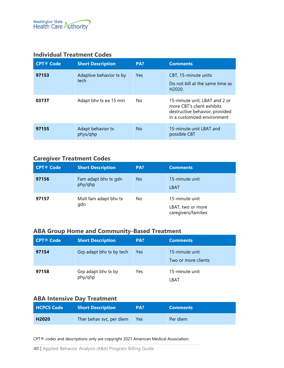#### <span id="page-39-0"></span>**Individual Treatment Codes**

| <b>CPT® Code</b> | <b>Short Description</b>        | PA? | <b>Comments</b>                                                                                                              |
|------------------|---------------------------------|-----|------------------------------------------------------------------------------------------------------------------------------|
| 97153            | Adaptive behavior tx by<br>tech | Yes | CBT, 15-minute units<br>Do not bill at the same time as<br>H <sub>2020</sub>                                                 |
| 0373T            | Adapt bhy tx ea 15 min          | No. | 15-minute unit, LBAT and 2 or<br>more CBT's client exhibits<br>destructive behavior, provided<br>in a customized environment |
| 97155            | Adapt behavior tx<br>phys/ghp   | No  | 15-minute unit LBAT and<br>possible CBT                                                                                      |

#### <span id="page-39-1"></span>**Caregiver Treatment Codes**

| <b>CPT® Code</b> | <b>Short Description</b>        | PA?       | <b>Comments</b>                                            |
|------------------|---------------------------------|-----------|------------------------------------------------------------|
| 97156            | Fam adapt bhy tx gdn<br>phy/qhp | <b>No</b> | 15-minute unit<br><b>LBAT</b>                              |
| 97157            | Mult fam adapt bhy tx<br>gdn    | No        | 15-minute unit<br>LBAT, two or more<br>caregivers/families |

#### <span id="page-39-2"></span>**ABA Group Home and Community-Based Treatment**

| <b>CPT® Code</b> | <b>Short Description</b>       | PA?        | <b>Comments</b>                       |
|------------------|--------------------------------|------------|---------------------------------------|
| 97154            | Grp adapt bhy tx by tech       | <b>Yes</b> | 15-minute unit<br>Two or more clients |
| 97158            | Grp adapt bhy tx by<br>phy/qhp | Yes        | 15-minute unit<br>LBAT                |

# <span id="page-39-3"></span>**ABA Intensive Day Treatment**

| <b>HCPCS Code</b> | <b>Short Description</b> | PA? | <b>Comments</b> |
|-------------------|--------------------------|-----|-----------------|
| H <sub>2020</sub> | Ther behav svc, per diem | Yes | Per diem        |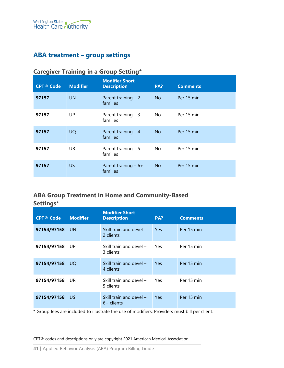# <span id="page-40-1"></span><span id="page-40-0"></span>**ABA treatment – group settings**

| <b>CPT® Code</b> | <b>Modifier</b> | <b>Modifier Short</b><br><b>Description</b> | PA?            | <b>Comments</b> |
|------------------|-----------------|---------------------------------------------|----------------|-----------------|
| 97157            | <b>UN</b>       | Parent training $-2$<br>families            | <b>No</b>      | Per 15 min      |
| 97157            | UP              | Parent training $-3$<br>families            | No.            | Per 15 min      |
| 97157            | <b>UQ</b>       | Parent training $-4$<br>families            | N <sub>o</sub> | Per 15 min      |
| 97157            | UR.             | Parent training $-5$<br>families            | No.            | Per 15 min      |
| 97157            | <b>US</b>       | Parent training $-6+$<br>families           | <b>No</b>      | Per 15 min      |

# **Caregiver Training in a Group Setting\***

# <span id="page-40-2"></span>**ABA Group Treatment in Home and Community-Based Settings\***

| <b>CPT® Code</b> | <b>Modifier</b> | <b>Modifier Short</b><br><b>Description</b> | PA?        | <b>Comments</b> |
|------------------|-----------------|---------------------------------------------|------------|-----------------|
| 97154/97158      | UN.             | Skill train and devel $-$<br>2 clients      | <b>Yes</b> | Per 15 min      |
| 97154/97158      | - UP            | Skill train and devel $-$<br>3 clients      | Yes        | Per 15 min      |
| 97154/97158      | UO.             | Skill train and devel $-$<br>4 clients      | <b>Yes</b> | Per 15 min      |
| 97154/97158      | UR.             | Skill train and devel $-$<br>5 clients      | Yes.       | Per 15 min      |
| 97154/97158      | US.             | Skill train and devel $-$<br>$6+$ clients   | <b>Yes</b> | Per 15 min      |

\* Group fees are included to illustrate the use of modifiers. Providers must bill per client.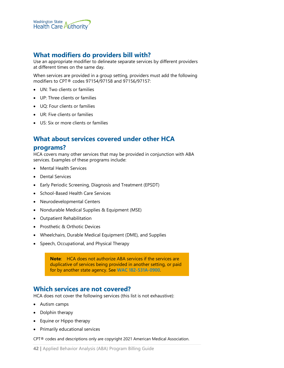

# <span id="page-41-0"></span>**What modifiers do providers bill with?**

Use an appropriate modifier to delineate separate services by different providers at different times on the same day.

When services are provided in a group setting, providers must add the following modifiers to CPT® codes 97154/97158 and 97156/97157:

- UN: Two clients or families
- UP: Three clients or families
- UQ: Four clients or families
- UR: Five clients or families
- US: Six or more clients or families

#### <span id="page-41-1"></span>**What about services covered under other HCA**

#### **programs?**

HCA covers many other services that may be provided in conjunction with ABA services. Examples of these programs include:

- Mental Health Services
- Dental Services
- Early Periodic Screening, Diagnosis and Treatment (EPSDT)
- School-Based Health Care Services
- Neurodevelopmental Centers
- Nondurable Medical Supplies & Equipment (MSE)
- Outpatient Rehabilitation
- Prosthetic & Orthotic Devices
- Wheelchairs, Durable Medical Equipment (DME), and Supplies
- Speech, Occupational, and Physical Therapy

**Note**: HCA does not authorize ABA services if the services are duplicative of services being provided in another setting, or paid for by another state agency. See **[WAC 182-531A-0900](https://apps.leg.wa.gov/wac/default.aspx?cite=182-531A-0900)**.

#### <span id="page-41-2"></span>**Which services are not covered?**

HCA does not cover the following services (this list is not exhaustive):

- Autism camps
- Dolphin therapy
- Equine or Hippo therapy
- Primarily educational services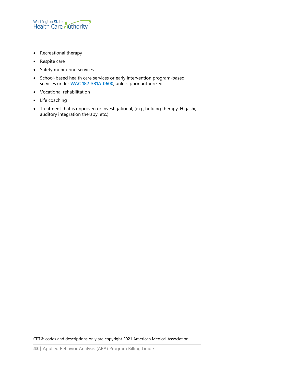

- Recreational therapy
- Respite care
- Safety monitoring services
- School-based health care services or early intervention program-based services under **[WAC 182-531A-0600](http://app.leg.wa.gov/WAC/default.aspx?cite=182-531A-0600)**, unless prior authorized
- Vocational rehabilitation
- Life coaching
- Treatment that is unproven or investigational, (e.g., holding therapy, Higashi, auditory integration therapy, etc.)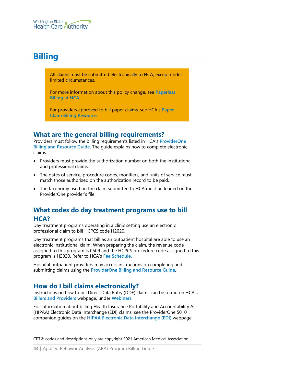# <span id="page-43-0"></span>**Billing**

All claims must be submitted electronically to HCA, except under limited circumstances.

For more information about this policy change, see **[Paperless](http://www.hca.wa.gov/billers-providers/providerone/providerone-billing-and-resource-guide#paperless-billing-at-hca)  [Billing at HCA](http://www.hca.wa.gov/billers-providers/providerone/providerone-billing-and-resource-guide#paperless-billing-at-hca)**.

For providers approved to bill paper claims, see HCA's **[Paper](http://www.hca.wa.gov/assets/billers-and-providers/paper-claim-billing-resource.pdf)  [Claim Billing Resource](http://www.hca.wa.gov/assets/billers-and-providers/paper-claim-billing-resource.pdf)**.

# <span id="page-43-1"></span>**What are the general billing requirements?**

Providers must follow the billing requirements listed in HCA's **[ProviderOne](http://www.hca.wa.gov/node/311)  [Billing and Resource Guide](http://www.hca.wa.gov/node/311)**. The guide explains how to complete electronic claims.

- Providers must provide the authorization number on both the institutional and professional claims.
- The dates of service, procedure codes, modifiers, and units of service must match those authorized on the authorization record to be paid.
- The taxonomy used on the claim submitted to HCA must be loaded on the ProviderOne provider's file.

# <span id="page-43-2"></span>**What codes do day treatment programs use to bill HCA?**

Day treatment programs operating in a clinic setting use an electronic professional claim to bill HCPCS code H2020.

Day treatment programs that bill as an outpatient hospital are able to use an electronic institutional claim. When preparing the claim, the revenue code assigned to this program is 0509 and the HCPCS procedure code assigned to this program is H2020. Refer to HCA's **[Fee Schedule](http://www.hca.wa.gov/node/301)**.

Hospital outpatient providers may access instructions on completing and submitting claims using the **[ProviderOne Billing and Resource Guide](http://www.hca.wa.gov/node/311)**.

# <span id="page-43-3"></span>**How do I bill claims electronically?**

Instructions on how to bill Direct Data Entry (DDE) claims can be found on HCA's **[Billers and Providers](http://hca.wa.gov/billers-providers)** webpage, under **[Webinars](http://www.hca.wa.gov/node/2386)**.

For information about billing Health Insurance Portability and Accountability Act (HIPAA) Electronic Data Interchange (EDI) claims, see the ProviderOne 5010 companion guides on the **[HIPAA Electronic Data Interchange \(EDI\)](http://www.hca.wa.gov/node/2336)** webpage.